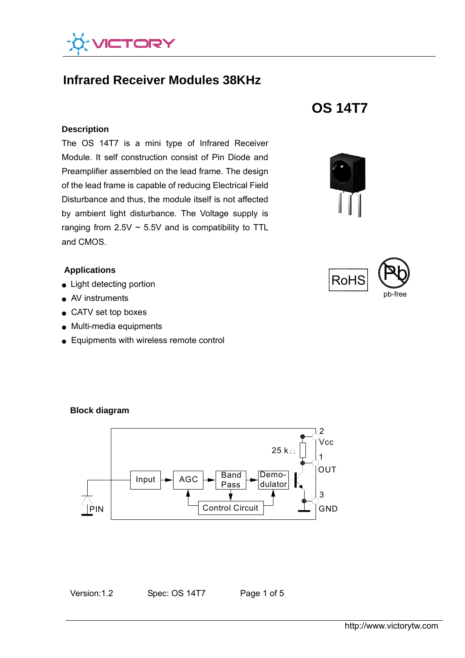

# **Infrared Receiver Modules 38KHz**

#### **Description**

ranging from 2.5V ~ 5.5V and is compatibility to TTL<br>and CMOS The OS 14T7 is a mini type of Infrared Receiver Module. It self construction consist of Pin Diode and Preamplifier assembled on the lead frame. The design of the lead frame is capable of reducing Electrical Field Disturbance and thus, the module itself is not affected by ambient light disturbance. The Voltage supply is and CMOS.

### **Applications**

- Light detecting portion
- AV instruments
- CATV set top boxes
- Multi-media equipments
- Equipments with wireless remote control







#### **Block diagram**



Version:1.2 Spec: OS 14T7 Page 1 of 5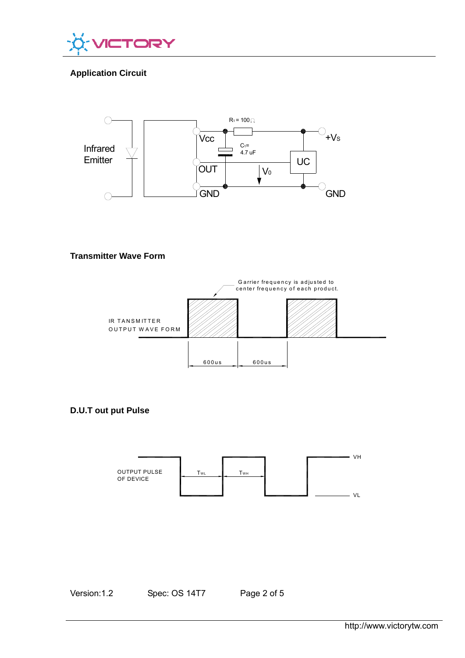

## **Application Circuit**



#### **Transmitter Wave Form**



#### **D.U.T out put Pulse**



Version:1.2 Spec: OS 14T7 Page 2 of 5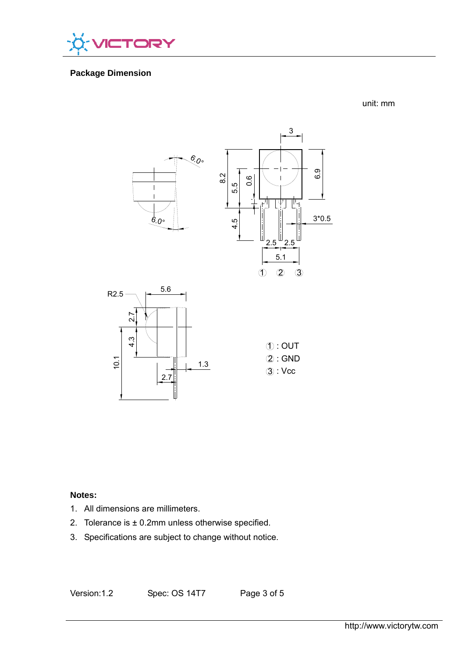

## **Package Dimension**

unit: mm



#### **Notes:**

- 1. All dimensions are millimeters.
- 2. Tolerance is  $\pm$  0.2mm unless otherwise specified.
- 3. Specifications are subject to change without notice.

Version:1.2 Spec: OS 14T7 Page 3 of 5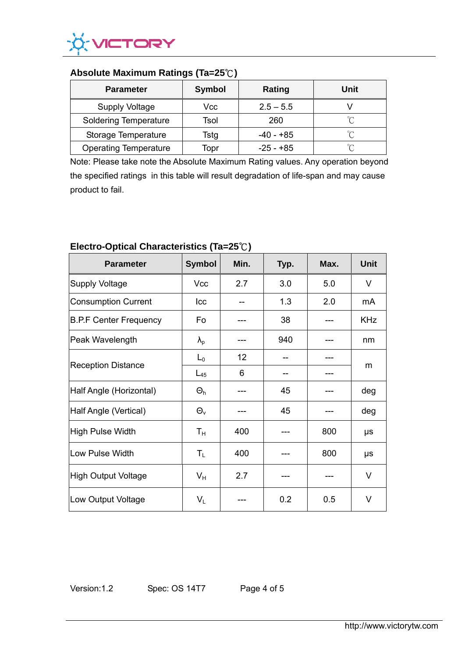

## **Absolute Maximum Ratings (Ta=25**℃**)**

| <b>Parameter</b>             | <b>Symbol</b> | Rating      | Unit     |
|------------------------------|---------------|-------------|----------|
| <b>Supply Voltage</b>        | Vcc           | $2.5 - 5.5$ |          |
| <b>Soldering Temperature</b> | Tsol          | 260         | $\gamma$ |
| Storage Temperature          | Tstg          | -40 - +85   | ∽        |
| <b>Operating Temperature</b> | Topr          | $-25 - +85$ | $\gamma$ |

Note: Please take note the Absolute Maximum Rating values. Any operation beyond the specified ratings in this table will result degradation of life-span and may cause product to fail.

| <b>Parameter</b>              | <b>Symbol</b>     | Min. | Typ. | Max. | <b>Unit</b> |
|-------------------------------|-------------------|------|------|------|-------------|
| Supply Voltage                | Vcc               | 2.7  | 3.0  | 5.0  | V           |
| Consumption Current           | Icc               |      | 1.3  | 2.0  | mA          |
| <b>B.P.F Center Frequency</b> | Fo                |      | 38   |      | <b>KHz</b>  |
| Peak Wavelength               | $\lambda_{\rm p}$ |      | 940  |      | nm          |
| <b>Reception Distance</b>     | $L_0$             | 12   |      |      | m           |
|                               | $L_{45}$          | 6    |      |      |             |
| Half Angle (Horizontal)       | $\Theta_h$        |      | 45   |      | deg         |
| Half Angle (Vertical)         | $\Theta_{v}$      |      | 45   |      | deg         |
| High Pulse Width              | $T_{\rm H}$       | 400  |      | 800  | μs          |
| Low Pulse Width               | $T_{L}$           | 400  |      | 800  | μs          |
| High Output Voltage           | $V_{H}$           | 2.7  |      |      | V           |
| Low Output Voltage            | $V_L$             |      | 0.2  | 0.5  | $\vee$      |

## **Electro-Optical Characteristics (Ta=25**℃**)**